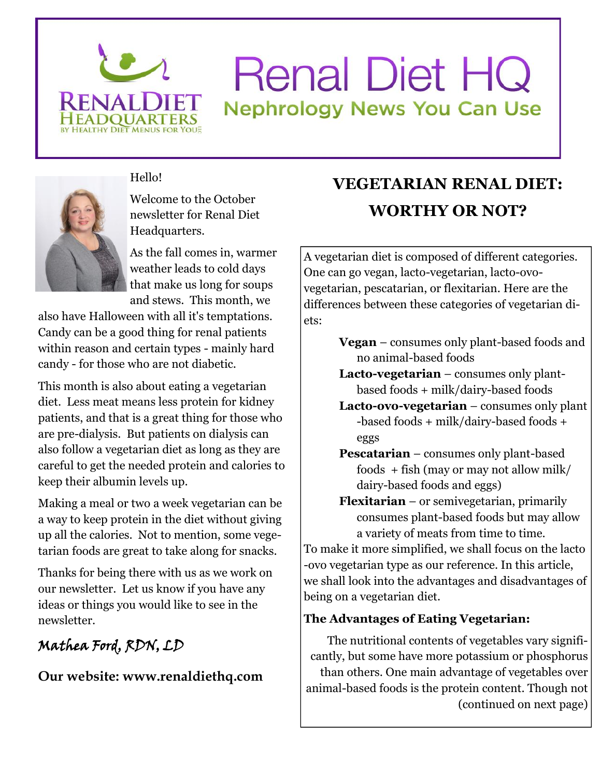

# **Renal Diet HQ Nephrology News You Can Use**



Hello!

Welcome to the October newsletter for Renal Diet Headquarters.

As the fall comes in, warmer weather leads to cold days that make us long for soups and stews. This month, we

also have Halloween with all it's temptations. Candy can be a good thing for renal patients within reason and certain types - mainly hard candy - for those who are not diabetic.

This month is also about eating a vegetarian diet. Less meat means less protein for kidney patients, and that is a great thing for those who are pre-dialysis. But patients on dialysis can also follow a vegetarian diet as long as they are careful to get the needed protein and calories to keep their albumin levels up.

Making a meal or two a week vegetarian can be a way to keep protein in the diet without giving up all the calories. Not to mention, some vegetarian foods are great to take along for snacks.

Thanks for being there with us as we work on our newsletter. Let us know if you have any ideas or things you would like to see in the newsletter.

## **Mathea Ford, RDN, LD**

**Our website: www.renaldiethq.com**

# **VEGETARIAN RENAL DIET: WORTHY OR NOT?**

A vegetarian diet is composed of different categories. One can go vegan, lacto-vegetarian, lacto-ovovegetarian, pescatarian, or flexitarian. Here are the differences between these categories of vegetarian diets:

- **Vegan** consumes only plant-based foods and no animal-based foods
- **Lacto-vegetarian** consumes only plantbased foods + milk/dairy-based foods
- **Lacto-ovo-vegetarian** consumes only plant -based foods + milk/dairy-based foods + eggs
- **Pescatarian** consumes only plant-based foods + fish (may or may not allow milk/ dairy-based foods and eggs)
- **Flexitarian** or semivegetarian, primarily consumes plant-based foods but may allow a variety of meats from time to time.

To make it more simplified, we shall focus on the lacto -ovo vegetarian type as our reference. In this article, we shall look into the advantages and disadvantages of being on a vegetarian diet.

## **The Advantages of Eating Vegetarian:**

The nutritional contents of vegetables vary significantly, but some have more potassium or phosphorus than others. One main advantage of vegetables over animal-based foods is the protein content. Though not (continued on next page)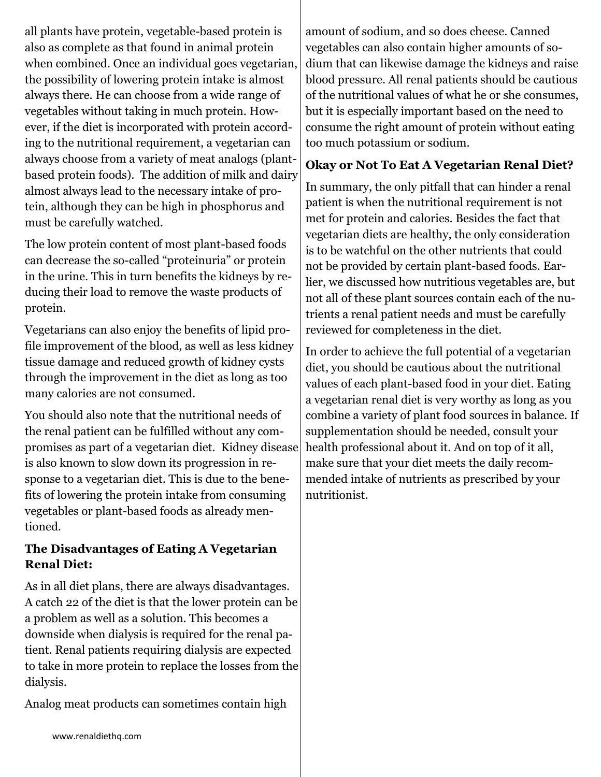all plants have protein, vegetable-based protein is also as complete as that found in animal protein when combined. Once an individual goes vegetarian, the possibility of lowering protein intake is almost always there. He can choose from a wide range of vegetables without taking in much protein. However, if the diet is incorporated with protein according to the nutritional requirement, a vegetarian can always choose from a variety of meat analogs (plantbased protein foods). The addition of milk and dairy almost always lead to the necessary intake of protein, although they can be high in phosphorus and must be carefully watched.

The low protein content of most plant-based foods can decrease the so-called "proteinuria" or protein in the urine. This in turn benefits the kidneys by reducing their load to remove the waste products of protein.

Vegetarians can also enjoy the benefits of lipid profile improvement of the blood, as well as less kidney tissue damage and reduced growth of kidney cysts through the improvement in the diet as long as too many calories are not consumed.

You should also note that the nutritional needs of the renal patient can be fulfilled without any compromises as part of a vegetarian diet. Kidney disease is also known to slow down its progression in response to a vegetarian diet. This is due to the benefits of lowering the protein intake from consuming vegetables or plant-based foods as already mentioned.

### **The Disadvantages of Eating A Vegetarian Renal Diet:**

As in all diet plans, there are always disadvantages. A catch 22 of the diet is that the lower protein can be a problem as well as a solution. This becomes a downside when dialysis is required for the renal patient. Renal patients requiring dialysis are expected to take in more protein to replace the losses from the dialysis.

Analog meat products can sometimes contain high

amount of sodium, and so does cheese. Canned vegetables can also contain higher amounts of sodium that can likewise damage the kidneys and raise blood pressure. All renal patients should be cautious of the nutritional values of what he or she consumes, but it is especially important based on the need to consume the right amount of protein without eating too much potassium or sodium.

### **Okay or Not To Eat A Vegetarian Renal Diet?**

In summary, the only pitfall that can hinder a renal patient is when the nutritional requirement is not met for protein and calories. Besides the fact that vegetarian diets are healthy, the only consideration is to be watchful on the other nutrients that could not be provided by certain plant-based foods. Earlier, we discussed how nutritious vegetables are, but not all of these plant sources contain each of the nutrients a renal patient needs and must be carefully reviewed for completeness in the diet.

In order to achieve the full potential of a vegetarian diet, you should be cautious about the nutritional values of each plant-based food in your diet. Eating a vegetarian renal diet is very worthy as long as you combine a variety of plant food sources in balance. If supplementation should be needed, consult your health professional about it. And on top of it all, make sure that your diet meets the daily recommended intake of nutrients as prescribed by your nutritionist.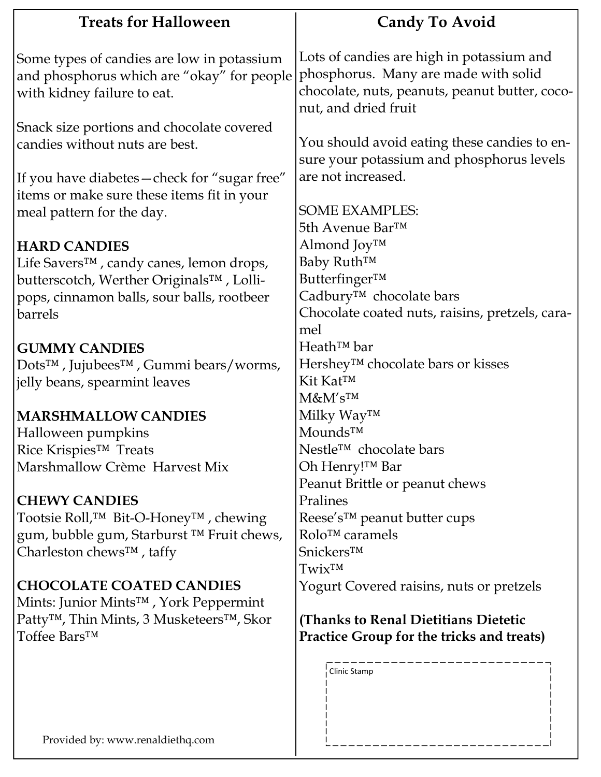| <b>Treats for Halloween</b>                                    | <b>Candy To Avoid</b>                                                  |
|----------------------------------------------------------------|------------------------------------------------------------------------|
| Some types of candies are low in potassium                     | Lots of candies are high in potassium and                              |
| and phosphorus which are "okay" for people                     | phosphorus. Many are made with solid                                   |
| with kidney failure to eat.                                    | chocolate, nuts, peanuts, peanut butter, coco-<br>nut, and dried fruit |
| Snack size portions and chocolate covered                      |                                                                        |
| candies without nuts are best.                                 | You should avoid eating these candies to en-                           |
|                                                                | sure your potassium and phosphorus levels                              |
| If you have diabetes - check for "sugar free"                  | are not increased.                                                     |
| items or make sure these items fit in your                     |                                                                        |
| meal pattern for the day.                                      | <b>SOME EXAMPLES:</b>                                                  |
|                                                                | 5th Avenue Bar™                                                        |
| <b>HARD CANDIES</b>                                            | Almond Joy™                                                            |
| Life Savers™, candy canes, lemon drops,                        | Baby Ruth™                                                             |
| butterscotch, Werther Originals™, Lolli-                       | Butterfinger™                                                          |
| pops, cinnamon balls, sour balls, rootbeer                     | Cadbury <sup>™</sup> chocolate bars                                    |
| barrels                                                        | Chocolate coated nuts, raisins, pretzels, cara-                        |
|                                                                | mel                                                                    |
| <b>GUMMY CANDIES</b>                                           | $Heath^{TM}$ bar                                                       |
| Dots <sup>™</sup> , Jujubees <sup>™</sup> , Gummi bears/worms, | Hershey <sup>™</sup> chocolate bars or kisses                          |
| jelly beans, spearmint leaves                                  | Kit Kat™                                                               |
|                                                                | M&M'sTM                                                                |
| <b>MARSHMALLOW CANDIES</b>                                     | Milky Way™                                                             |
| Halloween pumpkins                                             | Mounds™                                                                |
| Rice Krispies <sup>™</sup> Treats                              | Nestle <sup>™</sup> chocolate bars                                     |
| Marshmallow Crème Harvest Mix                                  | Oh Henry!™ Bar                                                         |
|                                                                | Peanut Brittle or peanut chews                                         |
| <b>CHEWY CANDIES</b>                                           | Pralines                                                               |
| Tootsie Roll, <sup>™</sup> Bit-O-Honey <sup>™</sup> , chewing  | Reese's <sup>™</sup> peanut butter cups                                |
| gum, bubble gum, Starburst ™ Fruit chews,                      | Rolo™ caramels                                                         |
| Charleston chews™, taffy                                       | Snickers™                                                              |
|                                                                | Twix <sup>TM</sup>                                                     |
| <b>CHOCOLATE COATED CANDIES</b>                                | Yogurt Covered raisins, nuts or pretzels                               |
| Mints: Junior Mints <sup>™</sup> , York Peppermint             |                                                                        |
| Patty <sup>™</sup> , Thin Mints, 3 Musketeers™, Skor           | (Thanks to Renal Dietitians Dietetic                                   |
| Toffee Bars <sup>™</sup>                                       | Practice Group for the tricks and treats)                              |
|                                                                | Clinic Stamp                                                           |
|                                                                |                                                                        |
|                                                                |                                                                        |